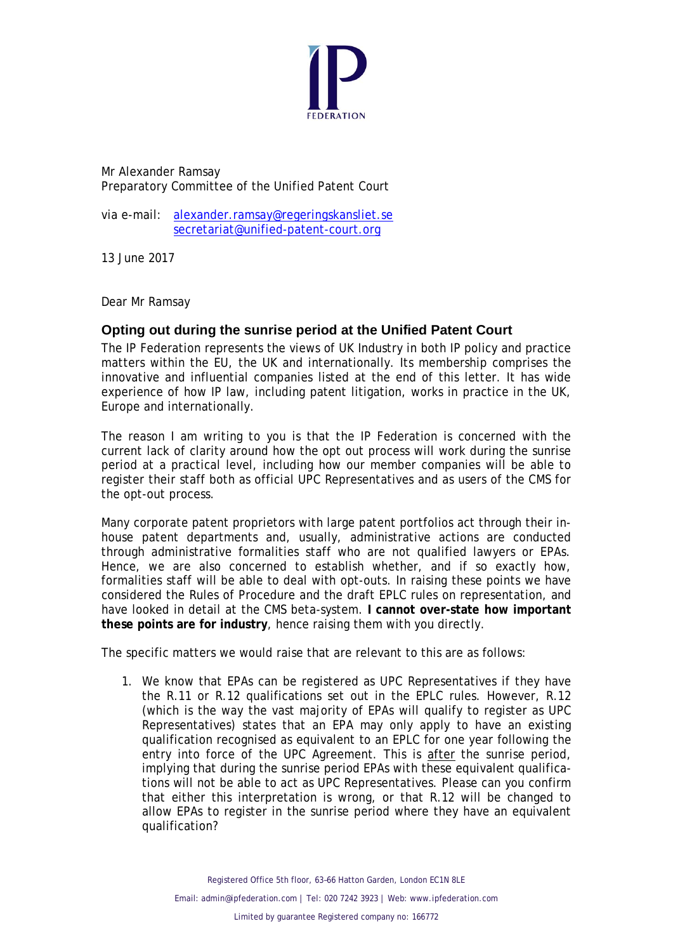

Mr Alexander Ramsay Preparatory Committee of the Unified Patent Court

via e-mail: [alexander.ramsay@regeringskansliet.se](mailto:alexander.ramsay@regeringskansliet.se) [secretariat@unified-patent-court.org](mailto:secretariat@unified-patent-court.org)

13 June 2017

Dear Mr Ramsay

## **Opting out during the sunrise period at the Unified Patent Court**

The IP Federation represents the views of UK Industry in both IP policy and practice matters within the EU, the UK and internationally. Its membership comprises the innovative and influential companies listed at the end of this letter. It has wide experience of how IP law, including patent litigation, works in practice in the UK, Europe and internationally.

The reason I am writing to you is that the IP Federation is concerned with the current lack of clarity around how the opt out process will work during the sunrise period at a practical level, including how our member companies will be able to register their staff both as official UPC Representatives and as users of the CMS for the opt-out process.

Many corporate patent proprietors with large patent portfolios act through their inhouse patent departments and, usually, administrative actions are conducted through administrative formalities staff who are not qualified lawyers or EPAs. Hence, we are also concerned to establish whether, and if so exactly how, formalities staff will be able to deal with opt-outs. In raising these points we have considered the Rules of Procedure and the draft EPLC rules on representation, and have looked in detail at the CMS beta-system. **I cannot over-state how important these points are for industry**, hence raising them with you directly.

The specific matters we would raise that are relevant to this are as follows:

1. We know that EPAs can be registered as UPC Representatives if they have the R.11 or R.12 qualifications set out in the EPLC rules. However, R.12 (which is the way the vast majority of EPAs will qualify to register as UPC Representatives) states that an EPA may only apply to have an existing qualification recognised as equivalent to an EPLC for one year following the entry into force of the UPC Agreement. This is after the sunrise period, implying that during the sunrise period EPAs with these equivalent qualifications will not be able to act as UPC Representatives. Please can you confirm that either this interpretation is wrong, or that R.12 will be changed to allow EPAs to register in the sunrise period where they have an equivalent qualification?

Registered Office 5th floor, 63–66 Hatton Garden, London EC1N 8LE

Email: [admin@ipfederation.com](mailto:admin@ipfederation.com) | Tel: 020 7242 3923 | Web: [www.ipfederation.com](http://www.ipfederation.com/)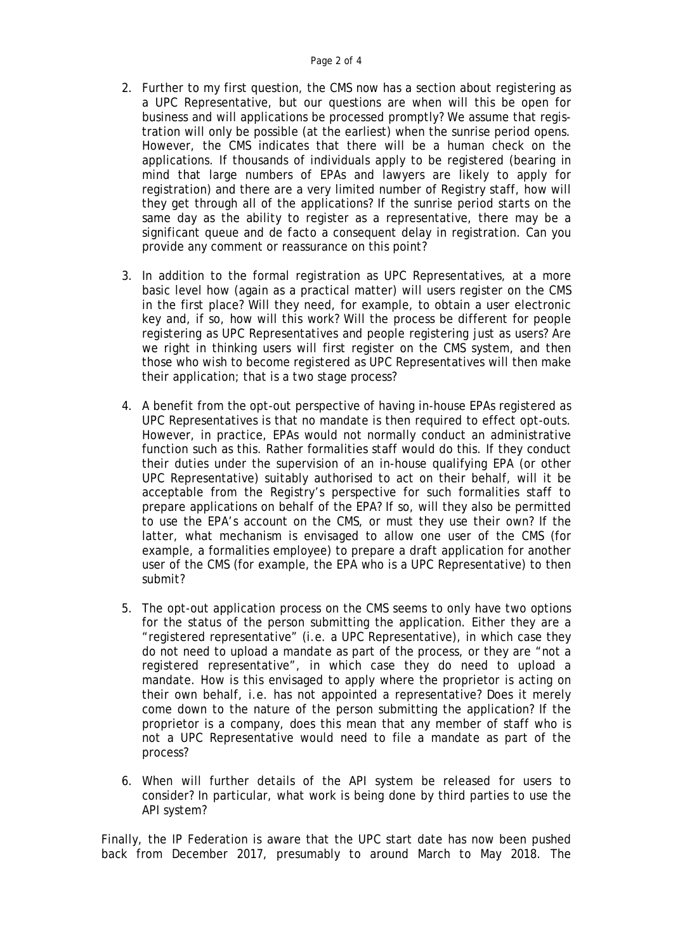- 2. Further to my first question, the CMS now has a section about registering as a UPC Representative, but our questions are when will this be open for business and will applications be processed promptly? We assume that registration will only be possible (at the earliest) when the sunrise period opens. However, the CMS indicates that there will be a human check on the applications. If thousands of individuals apply to be registered (bearing in mind that large numbers of EPAs and lawyers are likely to apply for registration) and there are a very limited number of Registry staff, how will they get through all of the applications? If the sunrise period starts on the same day as the ability to register as a representative, there may be a significant queue and *de facto* a consequent delay in registration. Can you provide any comment or reassurance on this point?
- 3. In addition to the formal registration as UPC Representatives, at a more basic level how (again as a practical matter) will users register on the CMS in the first place? Will they need, for example, to obtain a user electronic key and, if so, how will this work? Will the process be different for people registering as UPC Representatives and people registering just as users? Are we right in thinking users will first register on the CMS system, and then those who wish to become registered as UPC Representatives will then make their application; that is a two stage process?
- 4. A benefit from the opt-out perspective of having in-house EPAs registered as UPC Representatives is that no mandate is then required to effect opt-outs. However, in practice, EPAs would not normally conduct an administrative function such as this. Rather formalities staff would do this. If they conduct their duties under the supervision of an in-house qualifying EPA (or other UPC Representative) suitably authorised to act on their behalf, will it be acceptable from the Registry's perspective for such formalities staff to prepare applications on behalf of the EPA? If so, will they also be permitted to use the EPA's account on the CMS, or must they use their own? If the latter, what mechanism is envisaged to allow one user of the CMS (for example, a formalities employee) to prepare a draft application for another user of the CMS (for example, the EPA who is a UPC Representative) to then submit?
- 5. The opt-out application process on the CMS seems to only have two options for the status of the person submitting the application. Either they are a "registered representative" (i.e. a UPC Representative), in which case they do not need to upload a mandate as part of the process, or they are "not a registered representative", in which case they do need to upload a mandate. How is this envisaged to apply where the proprietor is acting on their own behalf, i.e. has not appointed a representative? Does it merely come down to the nature of the person submitting the application? If the proprietor is a company, does this mean that any member of staff who is not a UPC Representative would need to file a mandate as part of the process?
- 6. When will further details of the API system be released for users to consider? In particular, what work is being done by third parties to use the API system?

Finally, the IP Federation is aware that the UPC start date has now been pushed back from December 2017, presumably to around March to May 2018. The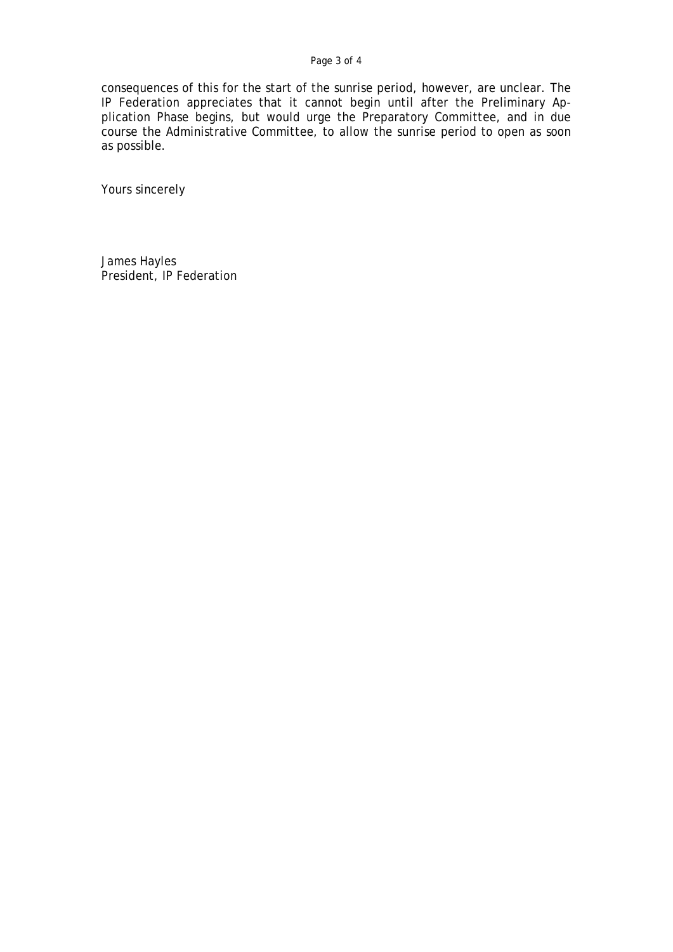## Page 3 of 4

consequences of this for the start of the sunrise period, however, are unclear. The IP Federation appreciates that it cannot begin until after the Preliminary Application Phase begins, but would urge the Preparatory Committee, and in due course the Administrative Committee, to allow the sunrise period to open as soon as possible.

Yours sincerely

James Hayles President, IP Federation